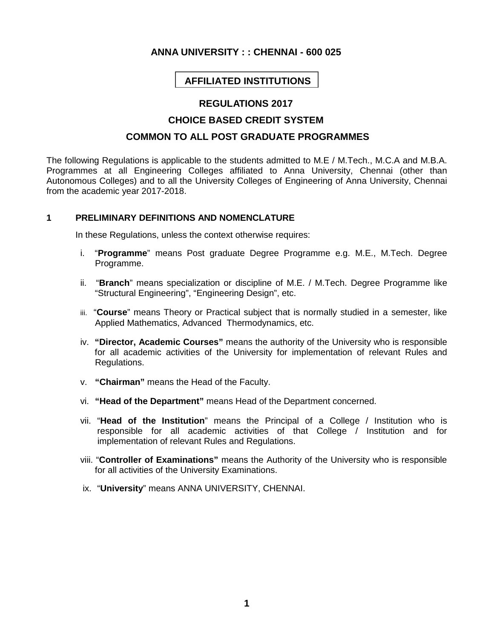## **ANNA UNIVERSITY : : CHENNAI - 600 025**

# **AFFILIATED INSTITUTIONS**

## **REGULATIONS 2017**

## **CHOICE BASED CREDIT SYSTEM**

# **COMMON TO ALL POST GRADUATE PROGRAMMES**

The following Regulations is applicable to the students admitted to M.E / M.Tech., M.C.A and M.B.A. Programmes at all Engineering Colleges affiliated to Anna University, Chennai (other than Autonomous Colleges) and to all the University Colleges of Engineering of Anna University, Chennai from the academic year 2017-2018.

#### **1 PRELIMINARY DEFINITIONS AND NOMENCLATURE**

In these Regulations, unless the context otherwise requires:

- i. "**Programme**" means Post graduate Degree Programme e.g. M.E., M.Tech. Degree Programme.
- ii. "**Branch**" means specialization or discipline of M.E. / M.Tech. Degree Programme like "Structural Engineering", "Engineering Design", etc.
- iii. "**Course**" means Theory or Practical subject that is normally studied in a semester, like Applied Mathematics, Advanced Thermodynamics, etc.
- iv. **"Director, Academic Courses"** means the authority of the University who is responsible for all academic activities of the University for implementation of relevant Rules and Regulations.
- v. **"Chairman"** means the Head of the Faculty.
- vi. **"Head of the Department"** means Head of the Department concerned.
- vii. "**Head of the Institution**" means the Principal of a College / Institution who is responsible for all academic activities of that College / Institution and for implementation of relevant Rules and Regulations.
- viii. "**Controller of Examinations"** means the Authority of the University who is responsible for all activities of the University Examinations.
- ix. "**University**" means ANNA UNIVERSITY, CHENNAI.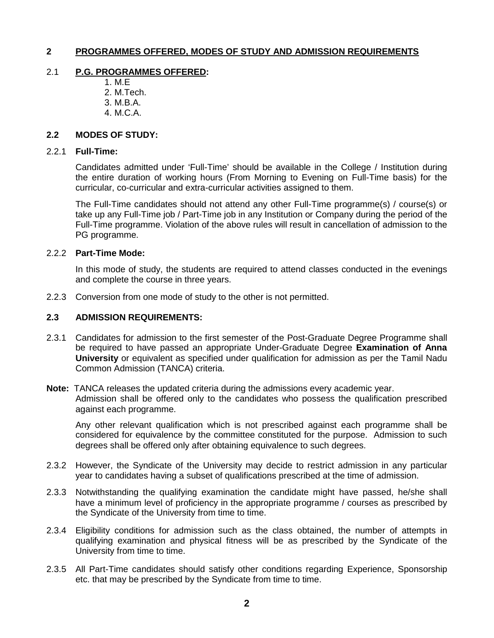## **2 PROGRAMMES OFFERED, MODES OF STUDY AND ADMISSION REQUIREMENTS**

#### 2.1 **P.G. PROGRAMMES OFFERED:**

- 1. M.E 2. M.Tech.
- 3. M.B.A.
- 4. M.C.A.

### **2.2 MODES OF STUDY:**

#### 2.2.1 **Full-Time:**

Candidates admitted under 'Full-Time' should be available in the College / Institution during the entire duration of working hours (From Morning to Evening on Full-Time basis) for the curricular, co-curricular and extra-curricular activities assigned to them.

The Full-Time candidates should not attend any other Full-Time programme(s) / course(s) or take up any Full-Time job / Part-Time job in any Institution or Company during the period of the Full-Time programme. Violation of the above rules will result in cancellation of admission to the PG programme.

#### 2.2.2 **Part-Time Mode:**

In this mode of study, the students are required to attend classes conducted in the evenings and complete the course in three years.

2.2.3 Conversion from one mode of study to the other is not permitted.

#### **2.3 ADMISSION REQUIREMENTS:**

2.3.1 Candidates for admission to the first semester of the Post-Graduate Degree Programme shall be required to have passed an appropriate Under-Graduate Degree **Examination of Anna University** or equivalent as specified under qualification for admission as per the Tamil Nadu Common Admission (TANCA) criteria.

**Note:** TANCA releases the updated criteria during the admissions every academic year. Admission shall be offered only to the candidates who possess the qualification prescribed against each programme.

Any other relevant qualification which is not prescribed against each programme shall be considered for equivalence by the committee constituted for the purpose. Admission to such degrees shall be offered only after obtaining equivalence to such degrees.

- 2.3.2 However, the Syndicate of the University may decide to restrict admission in any particular year to candidates having a subset of qualifications prescribed at the time of admission.
- 2.3.3 Notwithstanding the qualifying examination the candidate might have passed, he/she shall have a minimum level of proficiency in the appropriate programme / courses as prescribed by the Syndicate of the University from time to time.
- 2.3.4 Eligibility conditions for admission such as the class obtained, the number of attempts in qualifying examination and physical fitness will be as prescribed by the Syndicate of the University from time to time.
- 2.3.5 All Part-Time candidates should satisfy other conditions regarding Experience, Sponsorship etc. that may be prescribed by the Syndicate from time to time.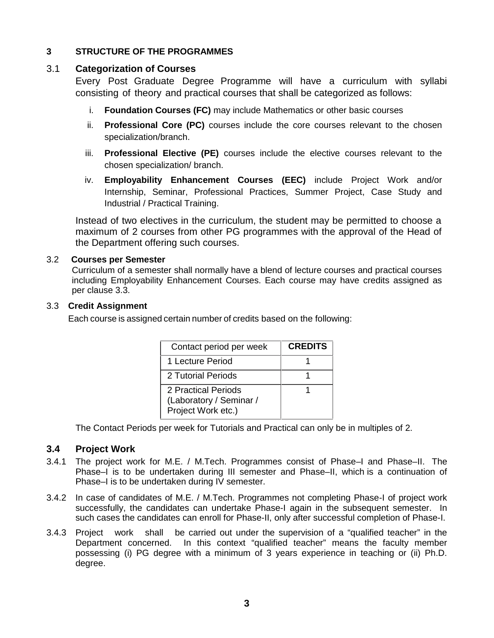## **3 STRUCTURE OF THE PROGRAMMES**

## 3.1 **Categorization of Courses**

Every Post Graduate Degree Programme will have a curriculum with syllabi consisting of theory and practical courses that shall be categorized as follows:

- i. **Foundation Courses (FC)** may include Mathematics or other basic courses
- ii. **Professional Core (PC)** courses include the core courses relevant to the chosen specialization/branch.
- iii. **Professional Elective (PE)** courses include the elective courses relevant to the chosen specialization/ branch.
- iv. **Employability Enhancement Courses (EEC)** include Project Work and/or Internship, Seminar, Professional Practices, Summer Project, Case Study and Industrial / Practical Training.

Instead of two electives in the curriculum, the student may be permitted to choose a maximum of 2 courses from other PG programmes with the approval of the Head of the Department offering such courses.

## 3.2 **Courses per Semester**

Curriculum of a semester shall normally have a blend of lecture courses and practical courses including Employability Enhancement Courses. Each course may have credits assigned as per clause 3.3.

#### 3.3 **Credit Assignment**

Each course is assigned certain number of credits based on the following:

| Contact period per week                                              | <b>CREDITS</b> |
|----------------------------------------------------------------------|----------------|
| 1 Lecture Period                                                     |                |
| 2 Tutorial Periods                                                   |                |
| 2 Practical Periods<br>(Laboratory / Seminar /<br>Project Work etc.) |                |

The Contact Periods per week for Tutorials and Practical can only be in multiples of 2.

## **3.4 Project Work**

- 3.4.1 The project work for M.E. / M.Tech. Programmes consist of Phase–I and Phase–II. The Phase–I is to be undertaken during III semester and Phase–II, which is a continuation of Phase–I is to be undertaken during IV semester.
- 3.4.2 In case of candidates of M.E. / M.Tech. Programmes not completing Phase-I of project work successfully, the candidates can undertake Phase-I again in the subsequent semester. In such cases the candidates can enroll for Phase-II, only after successful completion of Phase-I.
- 3.4.3 Project work shall be carried out under the supervision of a "qualified teacher" in the Department concerned. In this context "qualified teacher" means the faculty member possessing (i) PG degree with a minimum of 3 years experience in teaching or (ii) Ph.D. degree.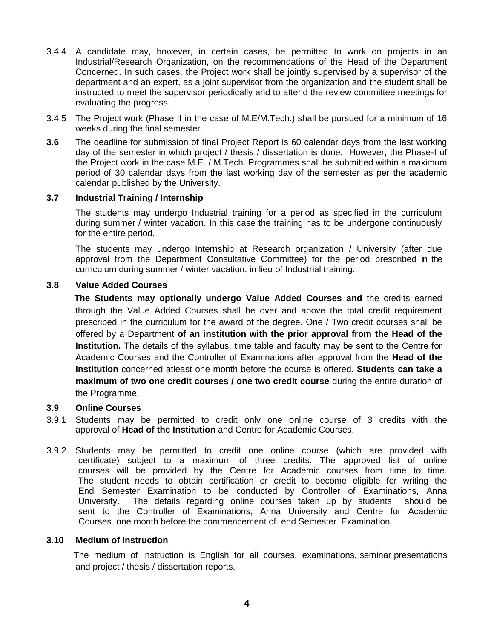- 3.4.4 A candidate may, however, in certain cases, be permitted to work on projects in an Industrial/Research Organization, on the recommendations of the Head of the Department Concerned. In such cases, the Project work shall be jointly supervised by a supervisor of the department and an expert, as a joint supervisor from the organization and the student shall be instructed to meet the supervisor periodically and to attend the review committee meetings for evaluating the progress.
- 3.4.5 The Project work (Phase II in the case of M.E/M.Tech.) shall be pursued for a minimum of 16 weeks during the final semester.
- **3.6** The deadline for submission of final Project Report is 60 calendar days from the last working day of the semester in which project / thesis / dissertation is done. However, the Phase-I of the Project work in the case M.E. / M.Tech. Programmes shall be submitted within a maximum period of 30 calendar days from the last working day of the semester as per the academic calendar published by the University.

#### **3.7 Industrial Training / Internship**

The students may undergo Industrial training for a period as specified in the curriculum during summer / winter vacation. In this case the training has to be undergone continuously for the entire period.

The students may undergo Internship at Research organization / University (after due approval from the Department Consultative Committee) for the period prescribed in the curriculum during summer / winter vacation, in lieu of Industrial training.

#### **3.8 Value Added Courses**

**The Students may optionally undergo Value Added Courses and** the credits earned through the Value Added Courses shall be over and above the total credit requirement prescribed in the curriculum for the award of the degree. One / Two credit courses shall be offered by a Department **of an institution with the prior approval from the Head of the Institution.** The details of the syllabus, time table and faculty may be sent to the Centre for Academic Courses and the Controller of Examinations after approval from the **Head of the Institution** concerned atleast one month before the course is offered. **Students can take a maximum of two one credit courses / one two credit course** during the entire duration of the Programme.

### **3.9 Online Courses**

- 3.9.1 Students may be permitted to credit only one online course of 3 credits with the approval of **Head of the Institution** and Centre for Academic Courses.
- 3.9.2 Students may be permitted to credit one online course (which are provided with certificate) subject to a maximum of three credits. The approved list of online courses will be provided by the Centre for Academic courses from time to time. The student needs to obtain certification or credit to become eligible for writing the End Semester Examination to be conducted by Controller of Examinations, Anna University. The details regarding online courses taken up by students should be sent to the Controller of Examinations, Anna University and Centre for Academic Courses one month before the commencement of end Semester Examination.

#### **3.10 Medium of Instruction**

The medium of instruction is English for all courses, examinations, seminar presentations and project / thesis / dissertation reports.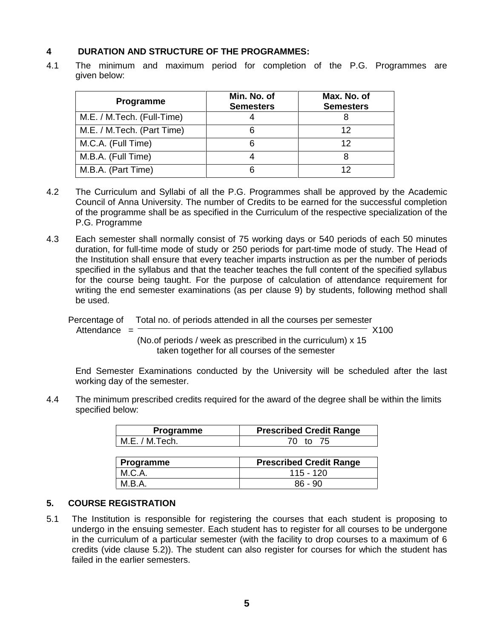## **4 DURATION AND STRUCTURE OF THE PROGRAMMES:**

4.1 The minimum and maximum period for completion of the P.G. Programmes are given below:

| Programme                  | Min. No. of<br><b>Semesters</b> | Max. No. of<br><b>Semesters</b> |
|----------------------------|---------------------------------|---------------------------------|
| M.E. / M.Tech. (Full-Time) |                                 |                                 |
| M.E. / M.Tech. (Part Time) | 6                               | 12                              |
| M.C.A. (Full Time)         |                                 | 12                              |
| M.B.A. (Full Time)         |                                 |                                 |
| M.B.A. (Part Time)         |                                 | 12                              |

- 4.2 The Curriculum and Syllabi of all the P.G. Programmes shall be approved by the Academic Council of Anna University. The number of Credits to be earned for the successful completion of the programme shall be as specified in the Curriculum of the respective specialization of the P.G. Programme
- 4.3 Each semester shall normally consist of 75 working days or 540 periods of each 50 minutes duration, for full-time mode of study or 250 periods for part-time mode of study. The Head of the Institution shall ensure that every teacher imparts instruction as per the number of periods specified in the syllabus and that the teacher teaches the full content of the specified syllabus for the course being taught. For the purpose of calculation of attendance requirement for writing the end semester examinations (as per clause 9) by students, following method shall be used.

Percentage of Total no. of periods attended in all the courses per semester

Attendance = X100

(No.of periods / week as prescribed in the curriculum) x 15 taken together for all courses of the semester

End Semester Examinations conducted by the University will be scheduled after the last working day of the semester.

4.4 The minimum prescribed credits required for the award of the degree shall be within the limits specified below:

| Programme      | <b>Prescribed Credit Range</b> |  |
|----------------|--------------------------------|--|
| M.E. / M.Tech. | 70 to 75                       |  |
|                |                                |  |
|                |                                |  |
| Programme      | <b>Prescribed Credit Range</b> |  |
| M.C.A.         | $115 - 120$                    |  |

## **5. COURSE REGISTRATION**

5.1 The Institution is responsible for registering the courses that each student is proposing to undergo in the ensuing semester. Each student has to register for all courses to be undergone in the curriculum of a particular semester (with the facility to drop courses to a maximum of 6 credits (vide clause 5.2)). The student can also register for courses for which the student has failed in the earlier semesters.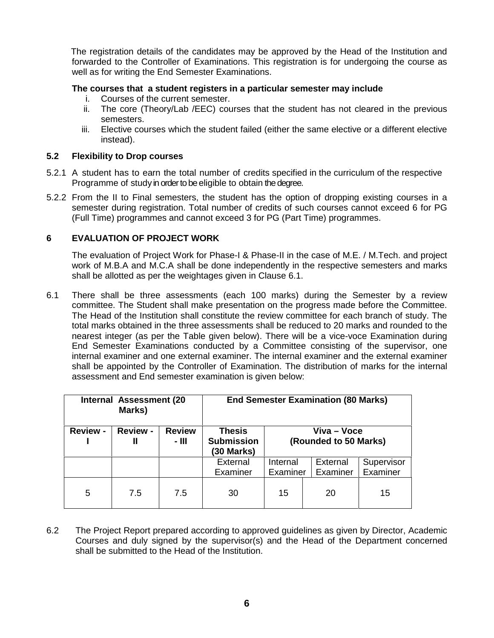The registration details of the candidates may be approved by the Head of the Institution and forwarded to the Controller of Examinations. This registration is for undergoing the course as well as for writing the End Semester Examinations.

## **The courses that a student registers in a particular semester may include**

- i. Courses of the current semester.
- ii. The core (Theory/Lab /EEC) courses that the student has not cleared in the previous semesters.
- iii. Elective courses which the student failed (either the same elective or a different elective instead).

#### **5.2 Flexibility to Drop courses**

- 5.2.1 A student has to earn the total number of credits specified in the curriculum of the respective Programme of study in order to be eligible to obtain the degree.
- 5.2.2 From the II to Final semesters, the student has the option of dropping existing courses in a semester during registration. Total number of credits of such courses cannot exceed 6 for PG (Full Time) programmes and cannot exceed 3 for PG (Part Time) programmes.

## **6 EVALUATION OF PROJECT WORK**

The evaluation of Project Work for Phase-I & Phase-II in the case of M.E. / M.Tech. and project work of M.B.A and M.C.A shall be done independently in the respective semesters and marks shall be allotted as per the weightages given in Clause 6.1.

6.1 There shall be three assessments (each 100 marks) during the Semester by a review committee. The Student shall make presentation on the progress made before the Committee. The Head of the Institution shall constitute the review committee for each branch of study. The total marks obtained in the three assessments shall be reduced to 20 marks and rounded to the nearest integer (as per the Table given below). There will be a vice-voce Examination during End Semester Examinations conducted by a Committee consisting of the supervisor, one internal examiner and one external examiner. The internal examiner and the external examiner shall be appointed by the Controller of Examination. The distribution of marks for the internal assessment and End semester examination is given below:

|                 | Internal Assessment (20<br>Marks) |                          | <b>End Semester Examination (80 Marks)</b>       |                                      |                      |                        |
|-----------------|-----------------------------------|--------------------------|--------------------------------------------------|--------------------------------------|----------------------|------------------------|
| <b>Review -</b> | <b>Review -</b><br>Ш              | <b>Review</b><br>$-$ III | <b>Thesis</b><br><b>Submission</b><br>(30 Marks) | Viva – Voce<br>(Rounded to 50 Marks) |                      |                        |
|                 |                                   |                          | External<br>Examiner                             | Internal<br>Examiner                 | External<br>Examiner | Supervisor<br>Examiner |
| 5               | 7.5                               | 7.5                      | 30                                               | 15                                   | 20                   | 15                     |

6.2 The Project Report prepared according to approved guidelines as given by Director, Academic Courses and duly signed by the supervisor(s) and the Head of the Department concerned shall be submitted to the Head of the Institution.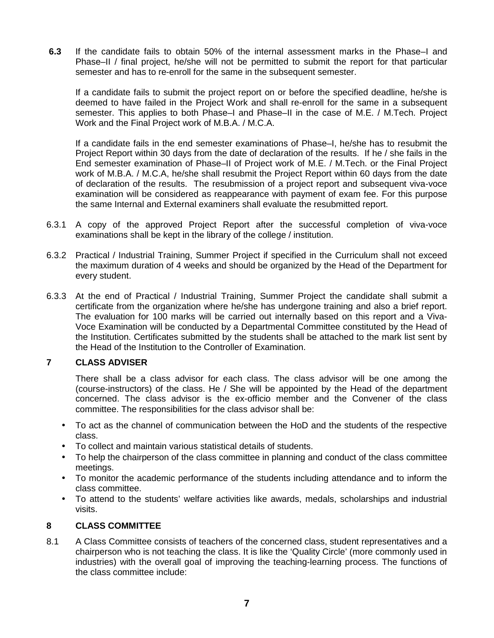**6.3** If the candidate fails to obtain 50% of the internal assessment marks in the Phase–I and Phase–II / final project, he/she will not be permitted to submit the report for that particular semester and has to re-enroll for the same in the subsequent semester.

If a candidate fails to submit the project report on or before the specified deadline, he/she is deemed to have failed in the Project Work and shall re-enroll for the same in a subsequent semester. This applies to both Phase–I and Phase–II in the case of M.E. / M.Tech. Project Work and the Final Project work of M.B.A. / M.C.A.

If a candidate fails in the end semester examinations of Phase–I, he/she has to resubmit the Project Report within 30 days from the date of declaration of the results. If he / she fails in the End semester examination of Phase–II of Project work of M.E. / M.Tech. or the Final Project work of M.B.A. / M.C.A, he/she shall resubmit the Project Report within 60 days from the date of declaration of the results. The resubmission of a project report and subsequent viva-voce examination will be considered as reappearance with payment of exam fee. For this purpose the same Internal and External examiners shall evaluate the resubmitted report.

- 6.3.1 A copy of the approved Project Report after the successful completion of viva-voce examinations shall be kept in the library of the college / institution.
- 6.3.2 Practical / Industrial Training, Summer Project if specified in the Curriculum shall not exceed the maximum duration of 4 weeks and should be organized by the Head of the Department for every student.
- 6.3.3 At the end of Practical / Industrial Training, Summer Project the candidate shall submit a certificate from the organization where he/she has undergone training and also a brief report. The evaluation for 100 marks will be carried out internally based on this report and a Viva- Voce Examination will be conducted by a Departmental Committee constituted by the Head of the Institution. Certificates submitted by the students shall be attached to the mark list sent by the Head of the Institution to the Controller of Examination.

## **7 CLASS ADVISER**

There shall be a class advisor for each class. The class advisor will be one among the (course-instructors) of the class. He / She will be appointed by the Head of the department concerned. The class advisor is the ex-officio member and the Convener of the class committee. The responsibilities for the class advisor shall be:

- To act as the channel of communication between the HoD and the students of the respective class.
- To collect and maintain various statistical details of students.
- To help the chairperson of the class committee in planning and conduct of the class committee meetings.
- To monitor the academic performance of the students including attendance and to inform the class committee.
- To attend to the students' welfare activities like awards, medals, scholarships and industrial visits.

## **8 CLASS COMMITTEE**

8.1 A Class Committee consists of teachers of the concerned class, student representatives and a chairperson who is not teaching the class. It is like the 'Quality Circle' (more commonly used in industries) with the overall goal of improving the teaching-learning process. The functions of the class committee include: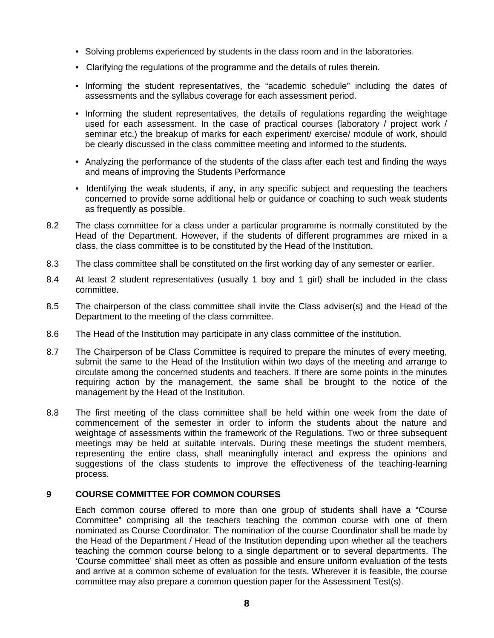- Solving problems experienced by students in the class room and in the laboratories.
- Clarifying the regulations of the programme and the details of rules therein.
- Informing the student representatives, the "academic schedule" including the dates of assessments and the syllabus coverage for each assessment period.
- Informing the student representatives, the details of regulations regarding the weightage used for each assessment. In the case of practical courses (laboratory / project work / seminar etc.) the breakup of marks for each experiment/ exercise/ module of work, should be clearly discussed in the class committee meeting and informed to the students.
- Analyzing the performance of the students of the class after each test and finding the ways and means of improving the Students Performance
- Identifying the weak students, if any, in any specific subject and requesting the teachers concerned to provide some additional help or guidance or coaching to such weak students as frequently as possible.
- 8.2 The class committee for a class under a particular programme is normally constituted by the Head of the Department. However, if the students of different programmes are mixed in a class, the class committee is to be constituted by the Head of the Institution.
- 8.3 The class committee shall be constituted on the first working day of any semester or earlier.
- 8.4 At least 2 student representatives (usually 1 boy and 1 girl) shall be included in the class committee.
- 8.5 The chairperson of the class committee shall invite the Class adviser(s) and the Head of the Department to the meeting of the class committee.
- 8.6 The Head of the Institution may participate in any class committee of the institution.
- 8.7 The Chairperson of be Class Committee is required to prepare the minutes of every meeting, submit the same to the Head of the Institution within two days of the meeting and arrange to circulate among the concerned students and teachers. If there are some points in the minutes requiring action by the management, the same shall be brought to the notice of the management by the Head of the Institution.
- 8.8 The first meeting of the class committee shall be held within one week from the date of commencement of the semester in order to inform the students about the nature and weightage of assessments within the framework of the Regulations. Two or three subsequent meetings may be held at suitable intervals. During these meetings the student members, representing the entire class, shall meaningfully interact and express the opinions and suggestions of the class students to improve the effectiveness of the teaching-learning process.

## **9 COURSE COMMITTEE FOR COMMON COURSES**

Each common course offered to more than one group of students shall have a "Course Committee" comprising all the teachers teaching the common course with one of them nominated as Course Coordinator. The nomination of the course Coordinator shall be made by the Head of the Department / Head of the Institution depending upon whether all the teachers teaching the common course belong to a single department or to several departments. The 'Course committee' shall meet as often as possible and ensure uniform evaluation of the tests and arrive at a common scheme of evaluation for the tests. Wherever it is feasible, the course committee may also prepare a common question paper for the Assessment Test(s).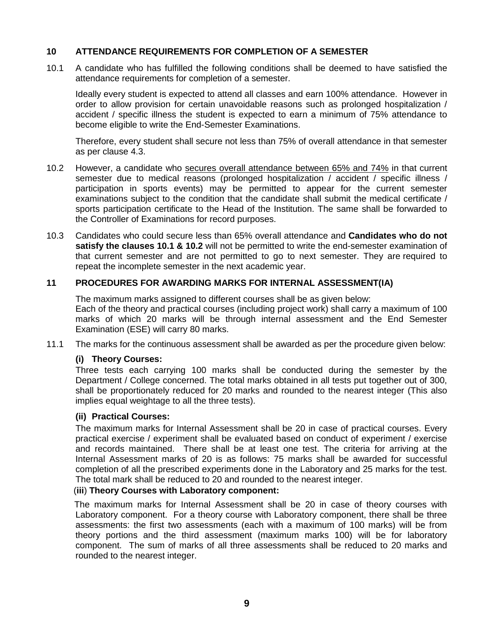## **10 ATTENDANCE REQUIREMENTS FOR COMPLETION OF A SEMESTER**

10.1 A candidate who has fulfilled the following conditions shall be deemed to have satisfied the attendance requirements for completion of a semester.

Ideally every student is expected to attend all classes and earn 100% attendance. However in order to allow provision for certain unavoidable reasons such as prolonged hospitalization / accident / specific illness the student is expected to earn a minimum of 75% attendance to become eligible to write the End-Semester Examinations.

Therefore, every student shall secure not less than 75% of overall attendance in that semester as per clause 4.3.

- 10.2 However, a candidate who secures overall attendance between 65% and 74% in that current semester due to medical reasons (prolonged hospitalization / accident / specific illness / participation in sports events) may be permitted to appear for the current semester examinations subject to the condition that the candidate shall submit the medical certificate / sports participation certificate to the Head of the Institution. The same shall be forwarded to the Controller of Examinations for record purposes.
- 10.3 Candidates who could secure less than 65% overall attendance and **Candidates who do not satisfy the clauses 10.1 & 10.2** will not be permitted to write the end-semester examination of that current semester and are not permitted to go to next semester. They are required to repeat the incomplete semester in the next academic year.

#### **11 PROCEDURES FOR AWARDING MARKS FOR INTERNAL ASSESSMENT(IA)**

The maximum marks assigned to different courses shall be as given below: Each of the theory and practical courses (including project work) shall carry a maximum of 100 marks of which 20 marks will be through internal assessment and the End Semester Examination (ESE) will carry 80 marks.

11.1 The marks for the continuous assessment shall be awarded as per the procedure given below:

#### **(i) Theory Courses:**

Three tests each carrying 100 marks shall be conducted during the semester by the Department / College concerned. The total marks obtained in all tests put together out of 300, shall be proportionately reduced for 20 marks and rounded to the nearest integer (This also implies equal weightage to all the three tests).

#### **(ii) Practical Courses:**

The maximum marks for Internal Assessment shall be 20 in case of practical courses. Every practical exercise / experiment shall be evaluated based on conduct of experiment / exercise and records maintained. There shall be at least one test. The criteria for arriving at the Internal Assessment marks of 20 is as follows: 75 marks shall be awarded for successful completion of all the prescribed experiments done in the Laboratory and 25 marks for the test. The total mark shall be reduced to 20 and rounded to the nearest integer.

#### (**iii**) **Theory Courses with Laboratory component:**

The maximum marks for Internal Assessment shall be 20 in case of theory courses with Laboratory component. For a theory course with Laboratory component, there shall be three assessments: the first two assessments (each with a maximum of 100 marks) will be from theory portions and the third assessment (maximum marks 100) will be for laboratory component. The sum of marks of all three assessments shall be reduced to 20 marks and rounded to the nearest integer.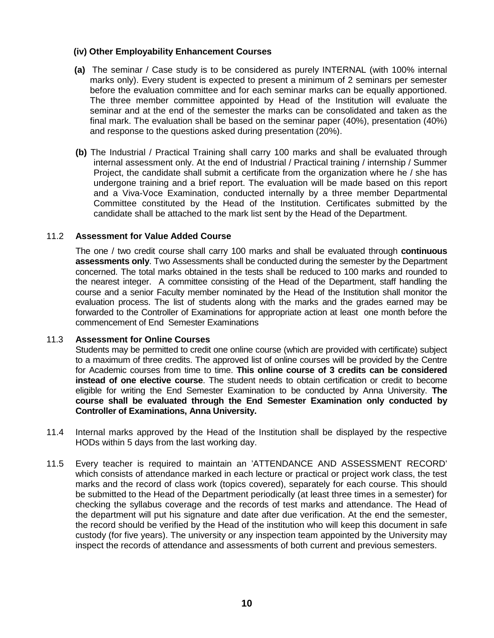## **(iv) Other Employability Enhancement Courses**

- **(a)** The seminar / Case study is to be considered as purely INTERNAL (with 100% internal marks only). Every student is expected to present a minimum of 2 seminars per semester before the evaluation committee and for each seminar marks can be equally apportioned. The three member committee appointed by Head of the Institution will evaluate the seminar and at the end of the semester the marks can be consolidated and taken as the final mark. The evaluation shall be based on the seminar paper (40%), presentation (40%) and response to the questions asked during presentation (20%).
- **(b)** The Industrial / Practical Training shall carry 100 marks and shall be evaluated through internal assessment only. At the end of Industrial / Practical training / internship / Summer Project, the candidate shall submit a certificate from the organization where he / she has undergone training and a brief report. The evaluation will be made based on this report and a Viva-Voce Examination, conducted internally by a three member Departmental Committee constituted by the Head of the Institution. Certificates submitted by the candidate shall be attached to the mark list sent by the Head of the Department.

#### 11.2 **Assessment for Value Added Course**

The one / two credit course shall carry 100 marks and shall be evaluated through **continuous assessments only**. Two Assessments shall be conducted during the semester by the Department concerned. The total marks obtained in the tests shall be reduced to 100 marks and rounded to the nearest integer. A committee consisting of the Head of the Department, staff handling the course and a senior Faculty member nominated by the Head of the Institution shall monitor the evaluation process. The list of students along with the marks and the grades earned may be forwarded to the Controller of Examinations for appropriate action at least one month before the commencement of End Semester Examinations

#### 11.3 **Assessment for Online Courses**

Students may be permitted to credit one online course (which are provided with certificate) subject to a maximum of three credits. The approved list of online courses will be provided by the Centre for Academic courses from time to time. **This online course of 3 credits can be considered instead of one elective course**. The student needs to obtain certification or credit to become eligible for writing the End Semester Examination to be conducted by Anna University. **The course shall be evaluated through the End Semester Examination only conducted by Controller of Examinations, Anna University.**

- 11.4 Internal marks approved by the Head of the Institution shall be displayed by the respective HODs within 5 days from the last working day.
- 11.5 Every teacher is required to maintain an 'ATTENDANCE AND ASSESSMENT RECORD' which consists of attendance marked in each lecture or practical or project work class, the test marks and the record of class work (topics covered), separately for each course. This should be submitted to the Head of the Department periodically (at least three times in a semester) for checking the syllabus coverage and the records of test marks and attendance. The Head of the department will put his signature and date after due verification. At the end the semester, the record should be verified by the Head of the institution who will keep this document in safe custody (for five years). The university or any inspection team appointed by the University may inspect the records of attendance and assessments of both current and previous semesters.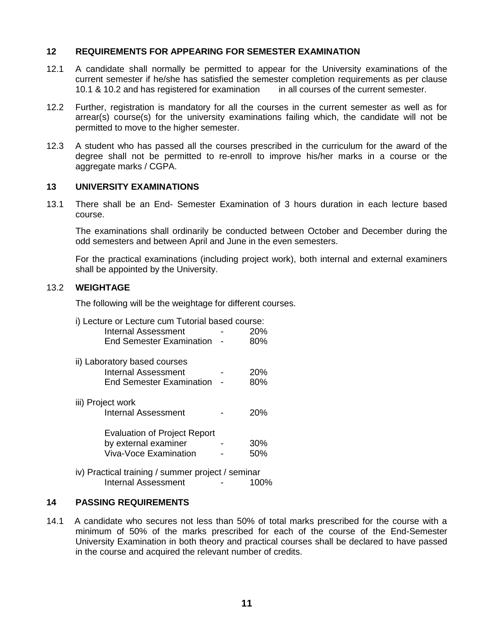#### **12 REQUIREMENTS FOR APPEARING FOR SEMESTER EXAMINATION**

- 12.1 A candidate shall normally be permitted to appear for the University examinations of the current semester if he/she has satisfied the semester completion requirements as per clause 10.1 & 10.2 and has registered for examination in all courses of the current semester.
- 12.2 Further, registration is mandatory for all the courses in the current semester as well as for arrear(s) course(s) for the university examinations failing which, the candidate will not be permitted to move to the higher semester.
- 12.3 A student who has passed all the courses prescribed in the curriculum for the award of the degree shall not be permitted to re-enroll to improve his/her marks in a course or the aggregate marks / CGPA.

#### **13 UNIVERSITY EXAMINATIONS**

13.1 There shall be an End- Semester Examination of 3 hours duration in each lecture based course.

The examinations shall ordinarily be conducted between October and December during the odd semesters and between April and June in the even semesters.

For the practical examinations (including project work), both internal and external examiners shall be appointed by the University.

#### 13.2 **WEIGHTAGE**

The following will be the weightage for different courses.

i) Lecture or Lecture cum Tutorial based course:

| Internal Assessment | 20%   |  |
|---------------------|-------|--|
|                     | 0.001 |  |

- End Semester Examination 80%
- ii) Laboratory based courses Internal Assessment - 20%<br>End Semester Examination - 80% End Semester Examination -
- iii) Project work Internal Assessment - 20% Evaluation of Project Report by external examiner - 30%
	- Viva-Voce Examination 50%
- iv) Practical training / summer project / seminar Internal Assessment - 100%

#### **14 PASSING REQUIREMENTS**

14.1 A candidate who secures not less than 50% of total marks prescribed for the course with a minimum of 50% of the marks prescribed for each of the course of the End-Semester University Examination in both theory and practical courses shall be declared to have passed in the course and acquired the relevant number of credits.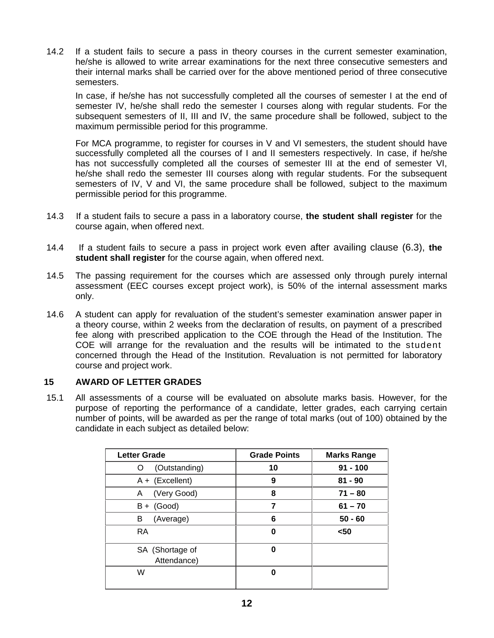14.2 If a student fails to secure a pass in theory courses in the current semester examination, he/she is allowed to write arrear examinations for the next three consecutive semesters and their internal marks shall be carried over for the above mentioned period of three consecutive semesters.

In case, if he/she has not successfully completed all the courses of semester I at the end of semester IV, he/she shall redo the semester I courses along with regular students. For the subsequent semesters of II, III and IV, the same procedure shall be followed, subject to the maximum permissible period for this programme.

For MCA programme, to register for courses in V and VI semesters, the student should have successfully completed all the courses of I and II semesters respectively. In case, if he/she has not successfully completed all the courses of semester III at the end of semester VI, he/she shall redo the semester III courses along with regular students. For the subsequent semesters of IV, V and VI, the same procedure shall be followed, subject to the maximum permissible period for this programme.

- 14.3 If a student fails to secure a pass in a laboratory course, **the student shall register** for the course again, when offered next.
- 14.4 If a student fails to secure a pass in project work even after availing clause (6.3), **the student shall register** for the course again, when offered next.
- 14.5 The passing requirement for the courses which are assessed only through purely internal assessment (EEC courses except project work), is 50% of the internal assessment marks only.
- 14.6 A student can apply for revaluation of the student's semester examination answer paper in a theory course, within 2 weeks from the declaration of results, on payment of a prescribed fee along with prescribed application to the COE through the Head of the Institution. The COE will arrange for the revaluation and the results will be intimated to the student concerned through the Head of the Institution. Revaluation is not permitted for laboratory course and project work.

## **15 AWARD OF LETTER GRADES**

15.1 All assessments of a course will be evaluated on absolute marks basis. However, for the purpose of reporting the performance of a candidate, letter grades, each carrying certain number of points, will be awarded as per the range of total marks (out of 100) obtained by the candidate in each subject as detailed below:

| <b>Letter Grade</b>            | <b>Grade Points</b> | <b>Marks Range</b> |
|--------------------------------|---------------------|--------------------|
| (Outstanding)<br>O             | 10                  | $91 - 100$         |
| $A + (Excellent)$              | 9                   | $81 - 90$          |
| (Very Good)<br>A               | 8                   | $71 - 80$          |
| (Good)<br>B +                  | 7                   | $61 - 70$          |
| (Average)<br>в                 | 6                   | $50 - 60$          |
| RA.                            | 0                   | $50$               |
| SA (Shortage of<br>Attendance) | O                   |                    |
| W                              | 0                   |                    |
|                                |                     |                    |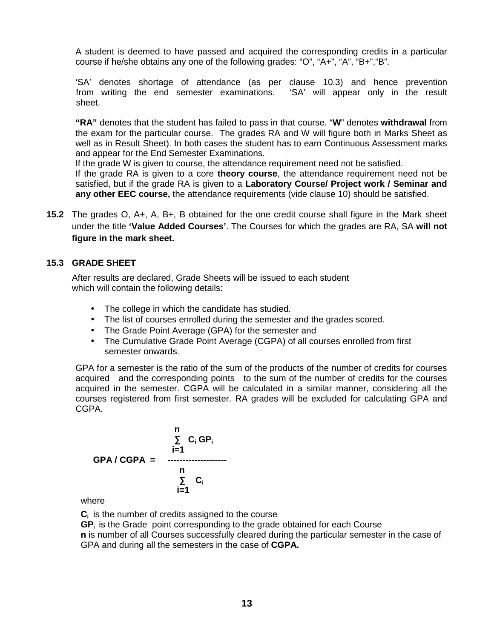A student is deemed to have passed and acquired the corresponding credits in a particular course if he/she obtains any one of the following grades: "O", "A+", "A", "B+","B".

'SA' denotes shortage of attendance (as per clause 10.3) and hence prevention from writing the end semester examinations. 'SA' will appear only in the result sheet.

**"RA"** denotes that the student has failed to pass in that course. "**W**" denotes **withdrawal** from the exam for the particular course. The grades RA and W will figure both in Marks Sheet as well as in Result Sheet). In both cases the student has to earn Continuous Assessment marks and appear for the End Semester Examinations.

If the grade W is given to course, the attendance requirement need not be satisfied.

If the grade RA is given to a core **theory course**, the attendance requirement need not be satisfied, but if the grade RA is given to a **Laboratory Course/ Project work / Seminar and any other EEC course,** the attendance requirements (vide clause 10) should be satisfied.

**15.2** The grades O, A+, A, B+, B obtained for the one credit course shall figure in the Mark sheet under the title **'Value Added Courses'**. The Courses for which the grades are RA, SA **will not figure in the mark sheet.**

## **15.3 GRADE SHEET**

After results are declared, Grade Sheets will be issued to each student which will contain the following details:

- The college in which the candidate has studied.
- The list of courses enrolled during the semester and the grades scored.
- The Grade Point Average (GPA) for the semester and
- The Cumulative Grade Point Average (CGPA) of all courses enrolled from first semester onwards.

GPA for a semester is the ratio of the sum of the products of the number of credits for courses acquired and the corresponding points to the sum of the number of credits for the courses acquired in the semester. CGPA will be calculated in a similar manner, considering all the courses registered from first semester. RA grades will be excluded for calculating GPA and CGPA.

$$
C_i GP_i
$$
\n
$$
C_i GP_i
$$
\n
$$
I = 1
$$
\n
$$
C_i
$$
\n
$$
I = 1
$$
\n
$$
C_i
$$
\n
$$
I = 1
$$

where

**C<sup>i</sup>** is the number of credits assigned to the course

**GP**<sup>i</sup> is the Grade point corresponding to the grade obtained for each Course **n** is number of all Courses successfully cleared during the particular semester in the case of GPA and during all the semesters in the case of **CGPA.**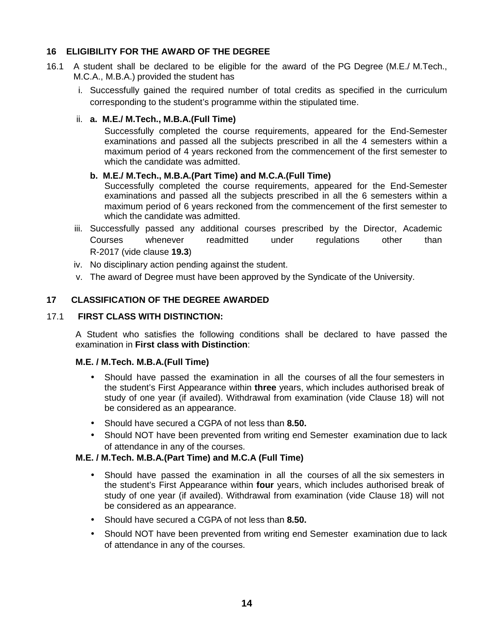## **16 ELIGIBILITY FOR THE AWARD OF THE DEGREE**

- 16.1 A student shall be declared to be eligible for the award of the PG Degree (M.E./ M.Tech., M.C.A., M.B.A.) provided the student has
	- i. Successfully gained the required number of total credits as specified in the curriculum corresponding to the student's programme within the stipulated time.

## ii. **a. M.E./ M.Tech., M.B.A.(Full Time)**

Successfully completed the course requirements, appeared for the End-Semester examinations and passed all the subjects prescribed in all the 4 semesters within a maximum period of 4 years reckoned from the commencement of the first semester to which the candidate was admitted.

## **b. M.E./ M.Tech., M.B.A.(Part Time) and M.C.A.(Full Time)**

Successfully completed the course requirements, appeared for the End-Semester examinations and passed all the subjects prescribed in all the 6 semesters within a maximum period of 6 years reckoned from the commencement of the first semester to which the candidate was admitted.

- iii. Successfully passed any additional courses prescribed by the Director, Academic Courses whenever readmitted under regulations other than R-2017 (vide clause **19.3**)
- iv. No disciplinary action pending against the student.
- v. The award of Degree must have been approved by the Syndicate of the University.

## **17 CLASSIFICATION OF THE DEGREE AWARDED**

## 17.1 **FIRST CLASS WITH DISTINCTION:**

A Student who satisfies the following conditions shall be declared to have passed the examination in **First class with Distinction**:

## **M.E. / M.Tech. M.B.A.(Full Time)**

- Should have passed the examination in all the courses of all the four semesters in the student's First Appearance within **three** years, which includes authorised break of study of one year (if availed). Withdrawal from examination (vide Clause 18) will not be considered as an appearance.
- Should have secured a CGPA of not less than **8.50.**
- Should NOT have been prevented from writing end Semester examination due to lack of attendance in any of the courses.

#### **M.E. / M.Tech. M.B.A.(Part Time) and M.C.A (Full Time)**

- Should have passed the examination in all the courses of all the six semesters in the student's First Appearance within **four** years, which includes authorised break of study of one year (if availed). Withdrawal from examination (vide Clause 18) will not be considered as an appearance.
- Should have secured a CGPA of not less than **8.50.**
- Should NOT have been prevented from writing end Semester examination due to lack of attendance in any of the courses.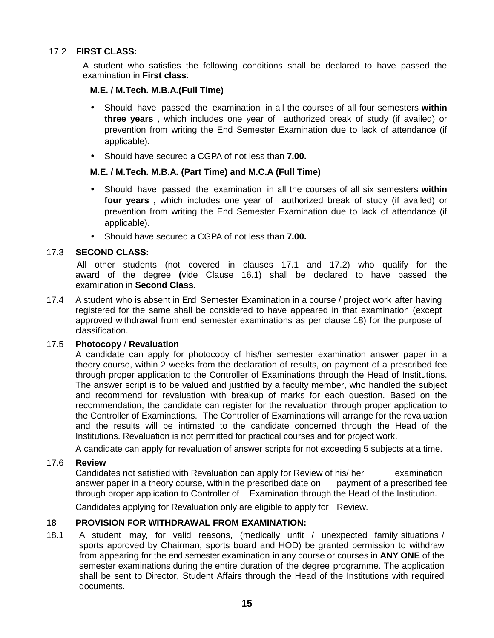## 17.2 **FIRST CLASS:**

A student who satisfies the following conditions shall be declared to have passed the examination in **First class**:

### **M.E. / M.Tech. M.B.A.(Full Time)**

- Should have passed the examination in all the courses of all four semesters **within three years** , which includes one year of authorized break of study (if availed) or prevention from writing the End Semester Examination due to lack of attendance (if applicable).
- Should have secured a CGPA of not less than **7.00.**

#### **M.E. / M.Tech. M.B.A. (Part Time) and M.C.A (Full Time)**

- Should have passed the examination in all the courses of all six semesters **within four years** , which includes one year of authorized break of study (if availed) or prevention from writing the End Semester Examination due to lack of attendance (if applicable).
- Should have secured a CGPA of not less than **7.00.**

#### 17.3 **SECOND CLASS:**

All other students (not covered in clauses 17.1 and 17.2) who qualify for the award of the degree **(**vide Clause 16.1) shall be declared to have passed the examination in **Second Class**.

17.4 A student who is absent in End Semester Examination in a course / project work after having registered for the same shall be considered to have appeared in that examination (except approved withdrawal from end semester examinations as per clause 18) for the purpose of classification.

#### 17.5 **Photocopy** / **Revaluation**

A candidate can apply for photocopy of his/her semester examination answer paper in a theory course, within 2 weeks from the declaration of results, on payment of a prescribed fee through proper application to the Controller of Examinations through the Head of Institutions. The answer script is to be valued and justified by a faculty member, who handled the subject and recommend for revaluation with breakup of marks for each question. Based on the recommendation, the candidate can register for the revaluation through proper application to the Controller of Examinations. The Controller of Examinations will arrange for the revaluation and the results will be intimated to the candidate concerned through the Head of the Institutions. Revaluation is not permitted for practical courses and for project work.

A candidate can apply for revaluation of answer scripts for not exceeding 5 subjects at a time.

#### 17.6 **Review**

Candidates not satisfied with Revaluation can apply for Review of his/ her examination answer paper in a theory course, within the prescribed date on payment of a prescribed fee through proper application to Controller of Examination through the Head of the Institution.

Candidates applying for Revaluation only are eligible to apply for Review.

## **18 PROVISION FOR WITHDRAWAL FROM EXAMINATION:**

18.1 A student may, for valid reasons, (medically unfit / unexpected family situations / sports approved by Chairman, sports board and HOD) be granted permission to withdraw from appearing for the end semester examination in any course or courses in **ANY ONE** of the semester examinations during the entire duration of the degree programme. The application shall be sent to Director, Student Affairs through the Head of the Institutions with required documents.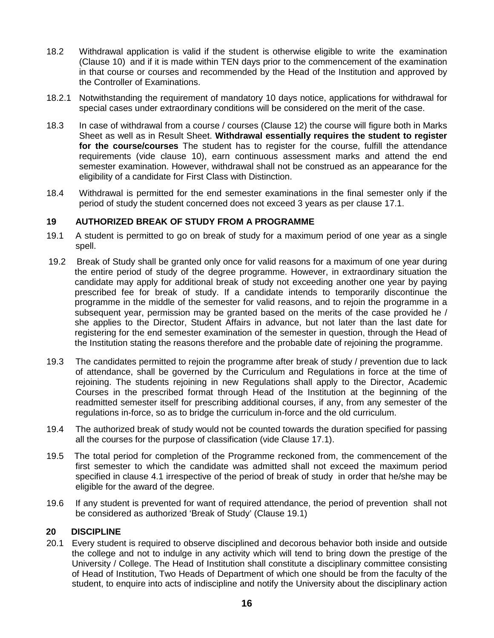- 18.2 Withdrawal application is valid if the student is otherwise eligible to write the examination (Clause 10) and if it is made within TEN days prior to the commencement of the examination in that course or courses and recommended by the Head of the Institution and approved by the Controller of Examinations.
- 18.2.1 Notwithstanding the requirement of mandatory 10 days notice, applications for withdrawal for special cases under extraordinary conditions will be considered on the merit of the case.
- 18.3 In case of withdrawal from a course / courses (Clause 12) the course will figure both in Marks Sheet as well as in Result Sheet. **Withdrawal essentially requires the student to register for the course/courses** The student has to register for the course, fulfill the attendance requirements (vide clause 10), earn continuous assessment marks and attend the end semester examination. However, withdrawal shall not be construed as an appearance for the eligibility of a candidate for First Class with Distinction.
- 18.4 Withdrawal is permitted for the end semester examinations in the final semester only if the period of study the student concerned does not exceed 3 years as per clause 17.1.

## **19 AUTHORIZED BREAK OF STUDY FROM A PROGRAMME**

- 19.1 A student is permitted to go on break of study for a maximum period of one year as a single spell.
- 19.2 Break of Study shall be granted only once for valid reasons for a maximum of one year during the entire period of study of the degree programme. However, in extraordinary situation the candidate may apply for additional break of study not exceeding another one year by paying prescribed fee for break of study. If a candidate intends to temporarily discontinue the programme in the middle of the semester for valid reasons, and to rejoin the programme in a subsequent year, permission may be granted based on the merits of the case provided he / she applies to the Director, Student Affairs in advance, but not later than the last date for registering for the end semester examination of the semester in question, through the Head of the Institution stating the reasons therefore and the probable date of rejoining the programme.
- 19.3 The candidates permitted to rejoin the programme after break of study / prevention due to lack of attendance, shall be governed by the Curriculum and Regulations in force at the time of rejoining. The students rejoining in new Regulations shall apply to the Director, Academic Courses in the prescribed format through Head of the Institution at the beginning of the readmitted semester itself for prescribing additional courses, if any, from any semester of the regulations in-force, so as to bridge the curriculum in-force and the old curriculum.
- 19.4 The authorized break of study would not be counted towards the duration specified for passing all the courses for the purpose of classification (vide Clause 17.1).
- 19.5 The total period for completion of the Programme reckoned from, the commencement of the first semester to which the candidate was admitted shall not exceed the maximum period specified in clause 4.1 irrespective of the period of break of study in order that he/she may be eligible for the award of the degree.
- 19.6 If any student is prevented for want of required attendance, the period of prevention shall not be considered as authorized 'Break of Study' (Clause 19.1)

## **20 DISCIPLINE**

20.1 Every student is required to observe disciplined and decorous behavior both inside and outside the college and not to indulge in any activity which will tend to bring down the prestige of the University / College. The Head of Institution shall constitute a disciplinary committee consisting of Head of Institution, Two Heads of Department of which one should be from the faculty of the student, to enquire into acts of indiscipline and notify the University about the disciplinary action